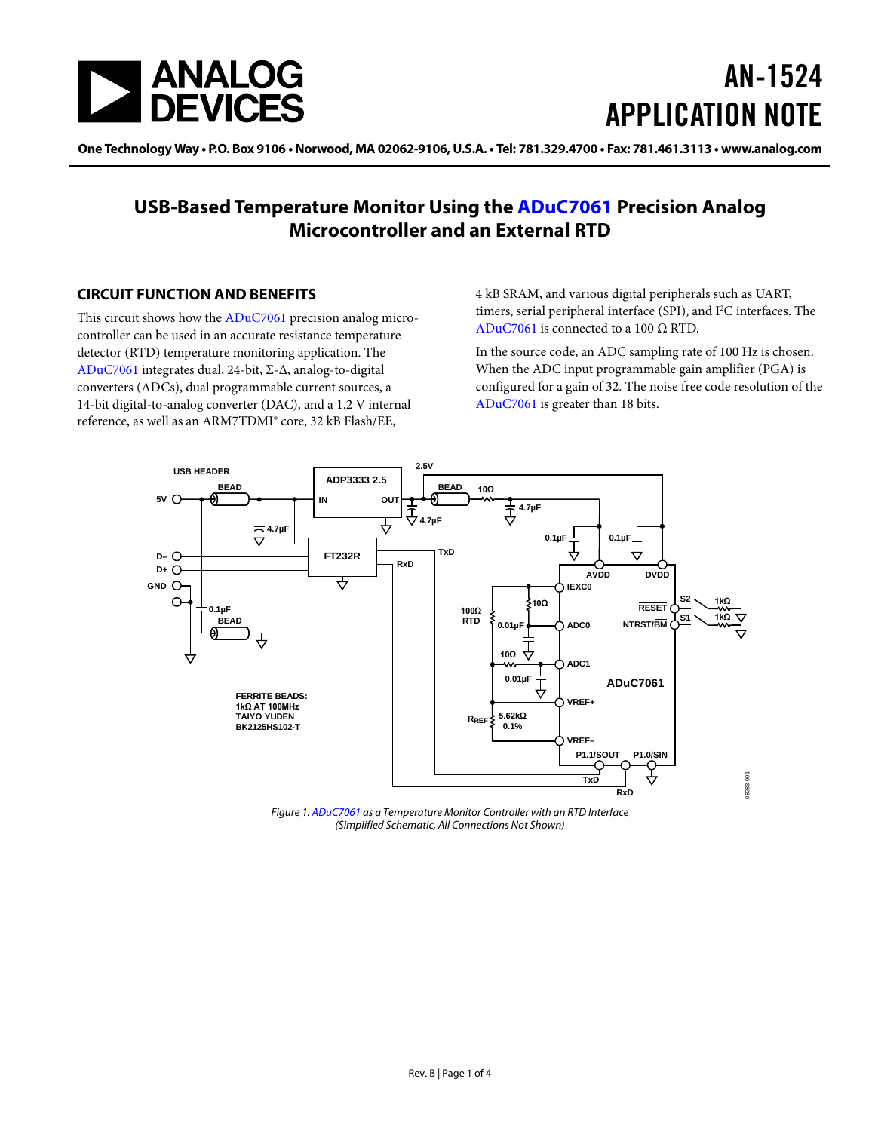

# AN-1524 APPLICATION NOTE

One Technology Way • P.O. Box 9106 • Norwood, MA 02062-9106, U.S.A. • Tel: 781.329.4700 • Fax: 781.461.3113 • www.analog.com

### **USB-Based Temperature Monitor Using the [ADuC7061](http://www.analog.com/aduc7061?doc=AN-1524.pdf) Precision Analog Microcontroller and an External RTD**

#### <span id="page-0-0"></span>**CIRCUIT FUNCTION AND BENEFITS**

This circuit shows how th[e ADuC7061](http://www.analog.com/aduc7061?doc=AN-1524.pdf) precision analog microcontroller can be used in an accurate resistance temperature detector (RTD) temperature monitoring application. The [ADuC7061](http://www.analog.com/aduc7061?doc=AN-1524.pdf) integrates dual, 24-bit, Σ-Δ, analog-to-digital converters (ADCs), dual programmable current sources, a 14-bit digital-to-analog converter (DAC), and a 1.2 V internal reference, as well as an ARM7TDMI® core, 32 kB Flash/EE,

4 kB SRAM, and various digital peripherals such as UART, timers, serial peripheral interface (SPI), and I<sup>2</sup>C interfaces. The [ADuC7061](http://www.analog.com/aduc7061?doc=AN-1524.pdf) is connected to a 100  $\Omega$  RTD.

In the source code, an ADC sampling rate of 100 Hz is chosen. When the ADC input programmable gain amplifier (PGA) is configured for a gain of 32. The noise free code resolution of the [ADuC7061](http://www.analog.com/aduc7061?doc=AN-1524.pdf) is greater than 18 bits.



<span id="page-0-1"></span>*Figure 1[. ADuC7061](http://www.analog.com/aduc7061?doc=AN-1524.pdf) as a Temperature Monitor Controller with an RTD Interface (Simplified Schematic, All Connections Not Shown)*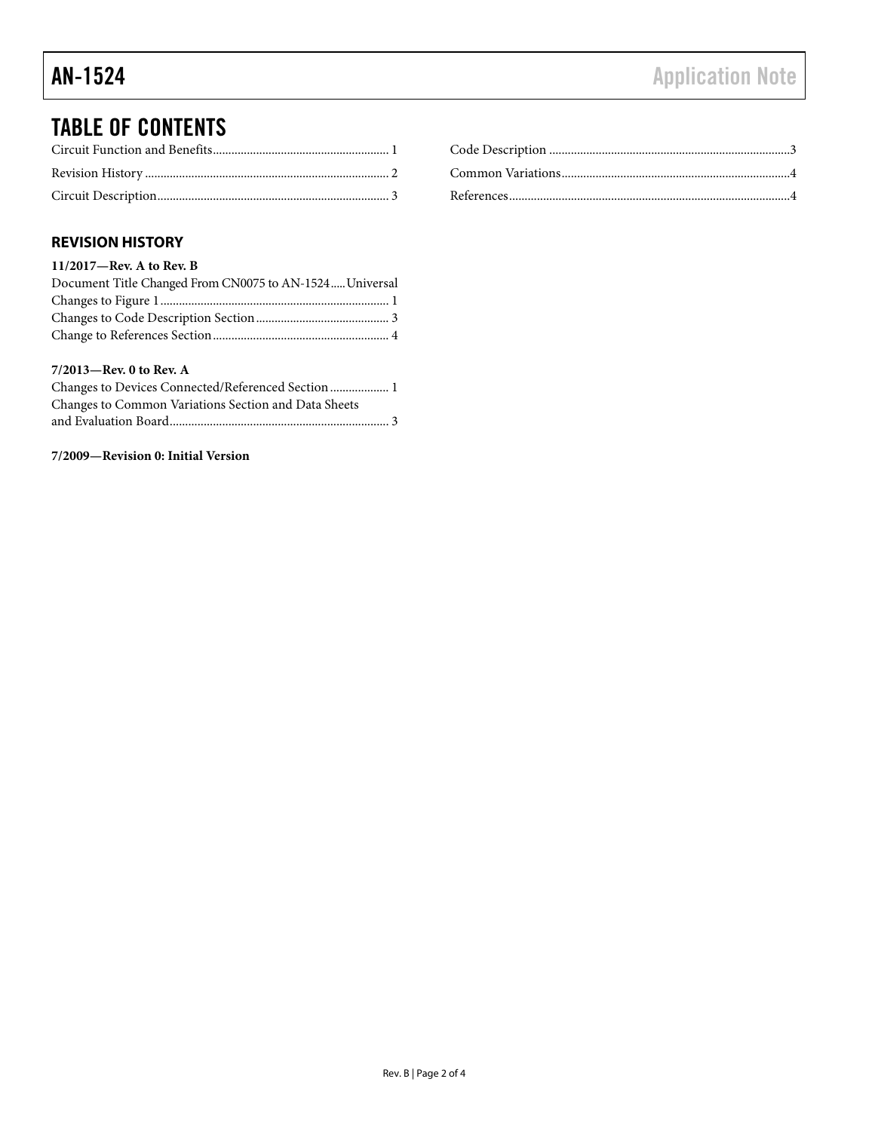## TABLE OF CONTENTS

#### <span id="page-1-0"></span>**REVISION HISTORY**

#### **11/2017—Rev. A to Rev. B** Document Title Changed From CN0075 to AN-1524..... Universal Changes to Figure 1.......................................................................... 1 Changes to Code Description Section........................................... 3 Change to References Section......................................................... 4

#### **7/2013—Rev. 0 to Rev. A**

| Changes to Devices Connected/Referenced Section  1   |
|------------------------------------------------------|
| Changes to Common Variations Section and Data Sheets |
|                                                      |

#### **7/2009—Revision 0: Initial Version**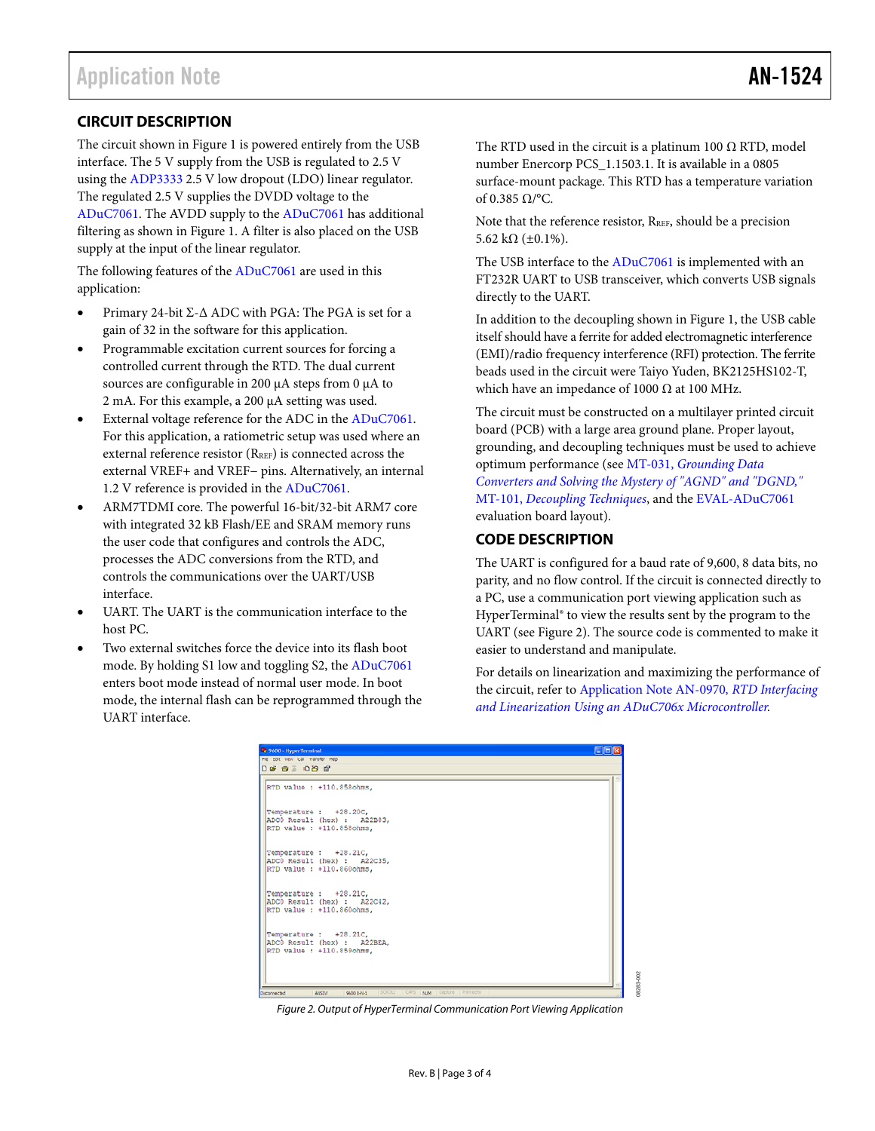#### <span id="page-2-0"></span>**CIRCUIT DESCRIPTION**

The circuit shown i[n Figure 1](#page-0-1) is powered entirely from the USB interface. The 5 V supply from the USB is regulated to 2.5 V using the [ADP3333](http://www.analog.com/ADP3333?doc=AN-1524.pdf) 2.5 V low dropout (LDO) linear regulator. The regulated 2.5 V supplies the DVDD voltage to the [ADuC7061.](http://www.analog.com/aduc7061?doc=AN-1524.pdf) The AVDD supply to the [ADuC7061](http://www.analog.com/aduc7061?doc=AN-1524.pdf) has additional filtering as shown i[n Figure 1.](#page-0-1) A filter is also placed on the USB supply at the input of the linear regulator.

The following features of th[e ADuC7061](http://www.analog.com/aduc7061?doc=AN-1524.pdf) are used in this application:

- Primary 24-bit Σ-Δ ADC with PGA: The PGA is set for a gain of 32 in the software for this application.
- Programmable excitation current sources for forcing a controlled current through the RTD. The dual current sources are configurable in 200 µA steps from 0 µA to 2 mA. For this example, a 200 µA setting was used.
- External voltage reference for the ADC in the [ADuC7061.](http://www.analog.com/aduc7061?doc=AN-1524.pdf) For this application, a ratiometric setup was used where an external reference resistor (RREF) is connected across the external VREF+ and VREF− pins. Alternatively, an internal 1.2 V reference is provided in the [ADuC7061.](http://www.analog.com/aduc7061?doc=AN-1524.pdf)
- ARM7TDMI core. The powerful 16-bit/32-bit ARM7 core with integrated 32 kB Flash/EE and SRAM memory runs the user code that configures and controls the ADC, processes the ADC conversions from the RTD, and controls the communications over the UART/USB interface.
- UART. The UART is the communication interface to the host PC.
- Two external switches force the device into its flash boot mode. By holding S1 low and toggling S2, the [ADuC7061](http://www.analog.com/aduc7061?doc=AN-1524.pdf) enters boot mode instead of normal user mode. In boot mode, the internal flash can be reprogrammed through the UART interface.

The RTD used in the circuit is a platinum 100  $\Omega$  RTD, model number Enercorp PCS\_1.1503.1. It is available in a 0805 surface-mount package. This RTD has a temperature variation of 0.385 Ω/°C.

Note that the reference resistor, R<sub>REF</sub>, should be a precision 5.62 kΩ ( $\pm$ 0.1%).

The USB interface to th[e ADuC7061](http://www.analog.com/aduc7061?doc=AN-1524.pdf) is implemented with an FT232R UART to USB transceiver, which converts USB signals directly to the UART.

In addition to the decoupling shown in [Figure 1,](#page-0-1) the USB cable itself should have a ferrite for added electromagnetic interference (EMI)/radio frequency interference (RFI) protection. The ferrite beads used in the circuit were Taiyo Yuden, BK2125HS102-T, which have an impedance of 1000  $\Omega$  at 100 MHz.

The circuit must be constructed on a multilayer printed circuit board (PCB) with a large area ground plane. Proper layout, grounding, and decoupling techniques must be used to achieve optimum performance (see MT-031, *[Grounding Data](http://www.analog.com/mt-031?doc=AN-1524.pdf)  [Converters and Solving the Mystery of "AGND" and "DGND,"](http://www.analog.com/mt-031?doc=AN-1524.pdf)* MT-101, *[Decoupling Techniques](http://www.analog.com/mt-101?doc=AN-1524.pdf)*, and th[e EVAL-ADuC7061](http://www.analog.com/EVAL-ADuC7061?doc=AN-1524.pdf) evaluation board layout).

#### <span id="page-2-1"></span>**CODE DESCRIPTION**

The UART is configured for a baud rate of 9,600, 8 data bits, no parity, and no flow control. If the circuit is connected directly to a PC, use a communication port viewing application such as HyperTerminal® to view the results sent by the program to the UART (se[e Figure 2\)](#page-2-2). The source code is commented to make it easier to understand and manipulate.

For details on linearization and maximizing the performance of the circuit, refer t[o Application Note AN-0970](http://www.analog.com/AN-0970?doc=AN-1524.pdf)*, RTD Interfacing [and Linearization Using an ADuC706x Microcontroller.](http://www.analog.com/AN-0970?doc=AN-1524.pdf)*

08283-002

<span id="page-2-2"></span>

*Figure 2. Output of HyperTerminal Communication Port Viewing Application*